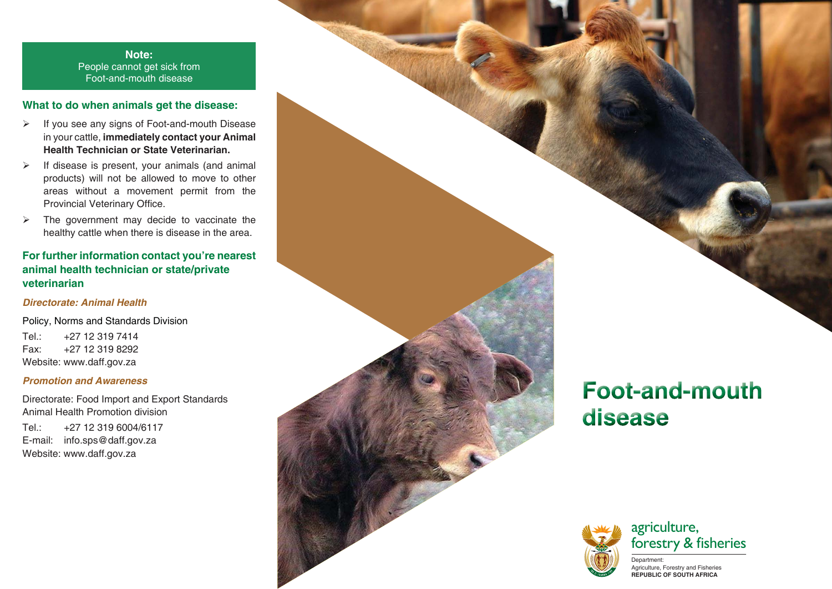**Note:**People cannot get sick from Foot-and-mouth disease

### **What to do when animals get the disease:**

- $\blacktriangleright$  If you see any signs of Foot-and-mouth Disease in your cattle, **immediately contact your Animal Health Technician or State Veterinarian.**
- $\blacktriangleright$  If disease is present, your animals (and animal products) will not be allowed to move to other areas without a movement permit from the Provincial Veterinary Office.
- $\blacktriangleright$  The government may decide to vaccinate the healthy cattle when there is disease in the area.

## **For further information contact you're nearest animal health technician or state/private veterinarian**

#### *Directorate: Animal Health*

Policy, Norms and Standards Division Tel.: +27 12 319 7414 Fax: +27 12 319 8292Website: www.daff.gov.za

#### *Promotion and Awareness*

Directorate: Food Import and Export Standards Animal Health Promotion division Tel.: +27 12 319 6004/6117

E-mail: info.sps@daff.gov.za Website: www.daff.gov.za

# **Foot-and-mouth** disease





Department: Agriculture, Forestry and Fisheries **REPUBLIC OF SOUTH AFRICA**